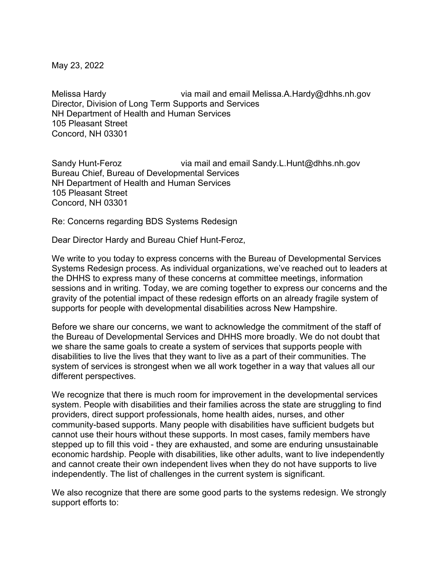May 23, 2022

Melissa Hardy via mail and email Melissa.A.Hardy@dhhs.nh.gov Director, Division of Long Term Supports and Services NH Department of Health and Human Services 105 Pleasant Street Concord, NH 03301

Sandy Hunt-Feroz via mail and email Sandy.L.Hunt@dhhs.nh.gov Bureau Chief, Bureau of Developmental Services NH Department of Health and Human Services 105 Pleasant Street Concord, NH 03301

Re: Concerns regarding BDS Systems Redesign

Dear Director Hardy and Bureau Chief Hunt-Feroz,

We write to you today to express concerns with the Bureau of Developmental Services Systems Redesign process. As individual organizations, we've reached out to leaders at the DHHS to express many of these concerns at committee meetings, information sessions and in writing. Today, we are coming together to express our concerns and the gravity of the potential impact of these redesign efforts on an already fragile system of supports for people with developmental disabilities across New Hampshire.

Before we share our concerns, we want to acknowledge the commitment of the staff of the Bureau of Developmental Services and DHHS more broadly. We do not doubt that we share the same goals to create a system of services that supports people with disabilities to live the lives that they want to live as a part of their communities. The system of services is strongest when we all work together in a way that values all our different perspectives.

We recognize that there is much room for improvement in the developmental services system. People with disabilities and their families across the state are struggling to find providers, direct support professionals, home health aides, nurses, and other community-based supports. Many people with disabilities have sufficient budgets but cannot use their hours without these supports. In most cases, family members have stepped up to fill this void - they are exhausted, and some are enduring unsustainable economic hardship. People with disabilities, like other adults, want to live independently and cannot create their own independent lives when they do not have supports to live independently. The list of challenges in the current system is significant.

We also recognize that there are some good parts to the systems redesign. We strongly support efforts to: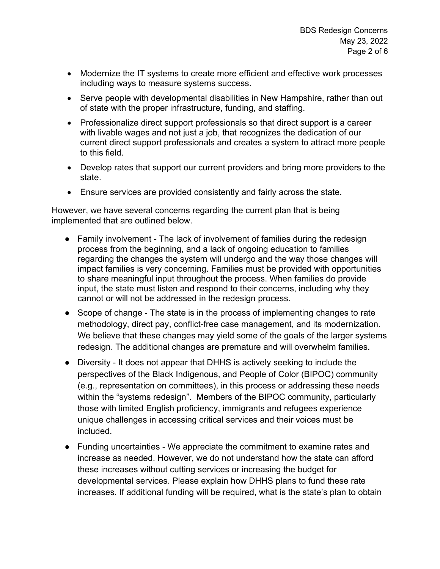- Modernize the IT systems to create more efficient and effective work processes including ways to measure systems success.
- Serve people with developmental disabilities in New Hampshire, rather than out of state with the proper infrastructure, funding, and staffing.
- Professionalize direct support professionals so that direct support is a career with livable wages and not just a job, that recognizes the dedication of our current direct support professionals and creates a system to attract more people to this field.
- Develop rates that support our current providers and bring more providers to the state.
- Ensure services are provided consistently and fairly across the state.

However, we have several concerns regarding the current plan that is being implemented that are outlined below.

- Family involvement The lack of involvement of families during the redesign process from the beginning, and a lack of ongoing education to families regarding the changes the system will undergo and the way those changes will impact families is very concerning. Families must be provided with opportunities to share meaningful input throughout the process. When families do provide input, the state must listen and respond to their concerns, including why they cannot or will not be addressed in the redesign process.
- Scope of change The state is in the process of implementing changes to rate methodology, direct pay, conflict-free case management, and its modernization. We believe that these changes may yield some of the goals of the larger systems redesign. The additional changes are premature and will overwhelm families.
- Diversity It does not appear that DHHS is actively seeking to include the perspectives of the Black Indigenous, and People of Color (BIPOC) community (e.g., representation on committees), in this process or addressing these needs within the "systems redesign". Members of the BIPOC community, particularly those with limited English proficiency, immigrants and refugees experience unique challenges in accessing critical services and their voices must be included.
- Funding uncertainties We appreciate the commitment to examine rates and increase as needed. However, we do not understand how the state can afford these increases without cutting services or increasing the budget for developmental services. Please explain how DHHS plans to fund these rate increases. If additional funding will be required, what is the state's plan to obtain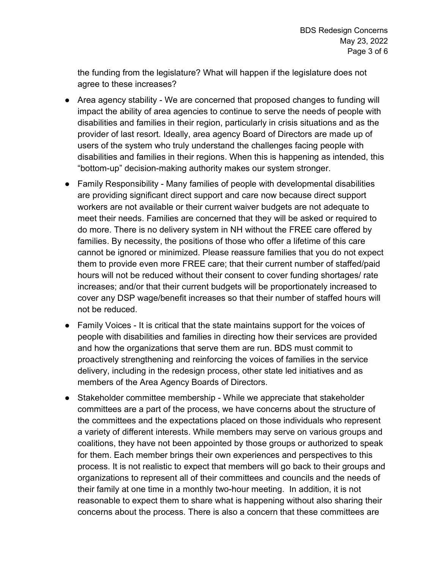the funding from the legislature? What will happen if the legislature does not agree to these increases?

- Area agency stability We are concerned that proposed changes to funding will impact the ability of area agencies to continue to serve the needs of people with disabilities and families in their region, particularly in crisis situations and as the provider of last resort. Ideally, area agency Board of Directors are made up of users of the system who truly understand the challenges facing people with disabilities and families in their regions. When this is happening as intended, this "bottom-up" decision-making authority makes our system stronger.
- Family Responsibility Many families of people with developmental disabilities are providing significant direct support and care now because direct support workers are not available or their current waiver budgets are not adequate to meet their needs. Families are concerned that they will be asked or required to do more. There is no delivery system in NH without the FREE care offered by families. By necessity, the positions of those who offer a lifetime of this care cannot be ignored or minimized. Please reassure families that you do not expect them to provide even more FREE care; that their current number of staffed/paid hours will not be reduced without their consent to cover funding shortages/ rate increases; and/or that their current budgets will be proportionately increased to cover any DSP wage/benefit increases so that their number of staffed hours will not be reduced.
- Family Voices It is critical that the state maintains support for the voices of people with disabilities and families in directing how their services are provided and how the organizations that serve them are run. BDS must commit to proactively strengthening and reinforcing the voices of families in the service delivery, including in the redesign process, other state led initiatives and as members of the Area Agency Boards of Directors.
- Stakeholder committee membership While we appreciate that stakeholder committees are a part of the process, we have concerns about the structure of the committees and the expectations placed on those individuals who represent a variety of different interests. While members may serve on various groups and coalitions, they have not been appointed by those groups or authorized to speak for them. Each member brings their own experiences and perspectives to this process. It is not realistic to expect that members will go back to their groups and organizations to represent all of their committees and councils and the needs of their family at one time in a monthly two-hour meeting. In addition, it is not reasonable to expect them to share what is happening without also sharing their concerns about the process. There is also a concern that these committees are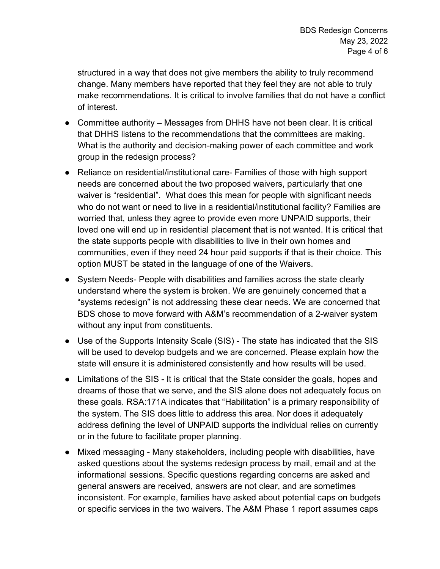structured in a way that does not give members the ability to truly recommend change. Many members have reported that they feel they are not able to truly make recommendations. It is critical to involve families that do not have a conflict of interest.

- Committee authority Messages from DHHS have not been clear. It is critical that DHHS listens to the recommendations that the committees are making. What is the authority and decision-making power of each committee and work group in the redesign process?
- Reliance on residential/institutional care- Families of those with high support needs are concerned about the two proposed waivers, particularly that one waiver is "residential". What does this mean for people with significant needs who do not want or need to live in a residential/institutional facility? Families are worried that, unless they agree to provide even more UNPAID supports, their loved one will end up in residential placement that is not wanted. It is critical that the state supports people with disabilities to live in their own homes and communities, even if they need 24 hour paid supports if that is their choice. This option MUST be stated in the language of one of the Waivers.
- System Needs- People with disabilities and families across the state clearly understand where the system is broken. We are genuinely concerned that a "systems redesign" is not addressing these clear needs. We are concerned that BDS chose to move forward with A&M's recommendation of a 2-waiver system without any input from constituents.
- Use of the Supports Intensity Scale (SIS) The state has indicated that the SIS will be used to develop budgets and we are concerned. Please explain how the state will ensure it is administered consistently and how results will be used.
- Limitations of the SIS It is critical that the State consider the goals, hopes and dreams of those that we serve, and the SIS alone does not adequately focus on these goals. RSA:171A indicates that "Habilitation" is a primary responsibility of the system. The SIS does little to address this area. Nor does it adequately address defining the level of UNPAID supports the individual relies on currently or in the future to facilitate proper planning.
- Mixed messaging Many stakeholders, including people with disabilities, have asked questions about the systems redesign process by mail, email and at the informational sessions. Specific questions regarding concerns are asked and general answers are received, answers are not clear, and are sometimes inconsistent. For example, families have asked about potential caps on budgets or specific services in the two waivers. The A&M Phase 1 report assumes caps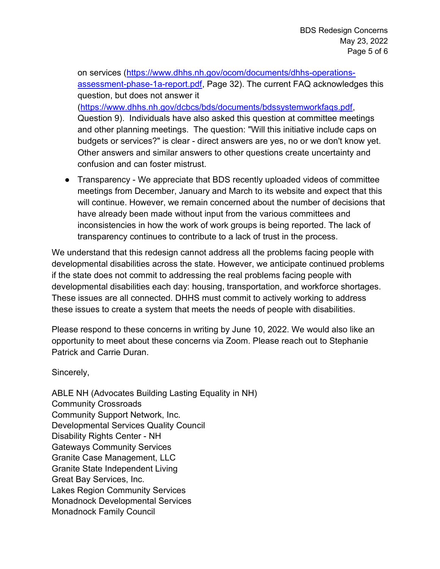on services (https://www.dhhs.nh.gov/ocom/documents/dhhs-operationsassessment-phase-1a-report.pdf, Page 32). The current FAQ acknowledges this question, but does not answer it (https://www.dhhs.nh.gov/dcbcs/bds/documents/bdssystemworkfaqs.pdf, Question 9). Individuals have also asked this question at committee meetings and other planning meetings. The question: "Will this initiative include caps on budgets or services?" is clear - direct answers are yes, no or we don't know yet. Other answers and similar answers to other questions create uncertainty and confusion and can foster mistrust.

● Transparency - We appreciate that BDS recently uploaded videos of committee meetings from December, January and March to its website and expect that this will continue. However, we remain concerned about the number of decisions that have already been made without input from the various committees and inconsistencies in how the work of work groups is being reported. The lack of transparency continues to contribute to a lack of trust in the process.

We understand that this redesign cannot address all the problems facing people with developmental disabilities across the state. However, we anticipate continued problems if the state does not commit to addressing the real problems facing people with developmental disabilities each day: housing, transportation, and workforce shortages. These issues are all connected. DHHS must commit to actively working to address these issues to create a system that meets the needs of people with disabilities.

Please respond to these concerns in writing by June 10, 2022. We would also like an opportunity to meet about these concerns via Zoom. Please reach out to Stephanie Patrick and Carrie Duran.

Sincerely,

ABLE NH (Advocates Building Lasting Equality in NH) Community Crossroads Community Support Network, Inc. Developmental Services Quality Council Disability Rights Center - NH Gateways Community Services Granite Case Management, LLC Granite State Independent Living Great Bay Services, Inc. Lakes Region Community Services Monadnock Developmental Services Monadnock Family Council